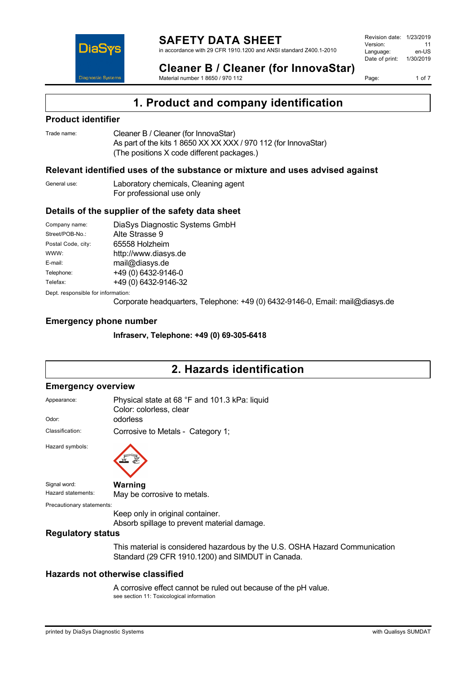

#### **SAFETY DATA SHEET** in accordance with 29 CFR 1910.1200 and ANSI standard Z400.1-2010

Revision date: 1/23/2019 Version: 11<br>Language: en-LIS Language: Date of print: 1/30/2019

Page: 1 of 7

**Cleaner B / Cleaner (for InnovaStar)** Material number 1 8650 / 970 112

**1. Product and company identification**

### **Product identifier**

Trade name: Cleaner B / Cleaner (for InnovaStar) As part of the kits 1 8650 XX XX XXX / 970 112 (for InnovaStar) (The positions X code different packages.)

### **Relevant identified uses of the substance or mixture and uses advised against**

| General use: | Laboratory chemicals, Cleaning agent |
|--------------|--------------------------------------|
|              | For professional use only            |

#### **Details of the supplier of the safety data sheet**

| Company name:                      | DiaSys Diagnostic Systems GmbH |  |
|------------------------------------|--------------------------------|--|
| Street/POB-No.:                    | Alte Strasse 9                 |  |
| Postal Code, city:                 | 65558 Holzheim                 |  |
| WWW:                               | http://www.diasys.de           |  |
| E-mail:                            | mail@diasys.de                 |  |
| Telephone:                         | +49 (0) 6432-9146-0            |  |
| Telefax:                           | +49 (0) 6432-9146-32           |  |
| Dept. responsible for information: |                                |  |

Corporate headquarters, Telephone: +49 (0) 6432-9146-0, Email: mail@diasys.de

### **Emergency phone number**

**Infraserv, Telephone: +49 (0) 69-305-6418**

## **2. Hazards identification**

#### **Emergency overview**

| Appearance:               | Physical state at 68 °F and 101.3 kPa: liquid<br>Color: colorless, clear        |  |
|---------------------------|---------------------------------------------------------------------------------|--|
| Odor:                     | odorless                                                                        |  |
| Classification:           | Corrosive to Metals - Category 1;                                               |  |
| Hazard symbols:           |                                                                                 |  |
| Signal word:              | Warning                                                                         |  |
| Hazard statements:        | May be corrosive to metals.                                                     |  |
| Precautionary statements: |                                                                                 |  |
|                           | Keep only in original container.<br>Absorb spillage to prevent material damage. |  |
| <b>Regulatory status</b>  |                                                                                 |  |

This material is considered hazardous by the U.S. OSHA Hazard Communication Standard (29 CFR 1910.1200) and SIMDUT in Canada.

### **Hazards not otherwise classified**

A corrosive effect cannot be ruled out because of the pH value. see section 11: Toxicological information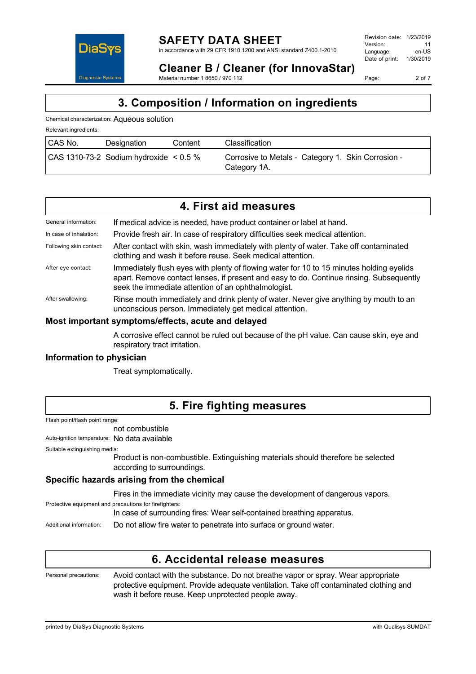

Page: 2 of 7

**Cleaner B / Cleaner (for InnovaStar)** Material number 1 8650 / 970 112

## **3. Composition / Information on ingredients**

Chemical characterization: Aqueous solution

Relevant ingredients:

| CAS No. | Designation                                | Content | Classification                                                     |
|---------|--------------------------------------------|---------|--------------------------------------------------------------------|
|         | $  CAS 1310-73-2$ Sodium hydroxide < 0.5 % |         | Corrosive to Metals - Category 1. Skin Corrosion -<br>Category 1A. |

| 4. First aid measures |  |
|-----------------------|--|
|-----------------------|--|

| General information:    | If medical advice is needed, have product container or label at hand.                                                                                                                                                                      |
|-------------------------|--------------------------------------------------------------------------------------------------------------------------------------------------------------------------------------------------------------------------------------------|
| In case of inhalation:  | Provide fresh air. In case of respiratory difficulties seek medical attention.                                                                                                                                                             |
| Following skin contact: | After contact with skin, wash immediately with plenty of water. Take off contaminated<br>clothing and wash it before reuse. Seek medical attention.                                                                                        |
| After eye contact:      | Immediately flush eyes with plenty of flowing water for 10 to 15 minutes holding eyelids<br>apart. Remove contact lenses, if present and easy to do. Continue rinsing. Subsequently<br>seek the immediate attention of an ophthalmologist. |
| After swallowing:       | Rinse mouth immediately and drink plenty of water. Never give anything by mouth to an<br>unconscious person. Immediately get medical attention.                                                                                            |
|                         |                                                                                                                                                                                                                                            |

### **Most important symptoms/effects, acute and delayed**

A corrosive effect cannot be ruled out because of the pH value. Can cause skin, eye and respiratory tract irritation.

### **Information to physician**

Treat symptomatically.

### **5. Fire fighting measures**

Flash point/flash point range:

not combustible Auto-ignition temperature: No data available

Suitable extinguishing media:

Product is non-combustible. Extinguishing materials should therefore be selected according to surroundings.

### **Specific hazards arising from the chemical**

Fires in the immediate vicinity may cause the development of dangerous vapors.

Protective equipment and precautions for firefighters:

In case of surrounding fires: Wear self-contained breathing apparatus.

Additional information: Do not allow fire water to penetrate into surface or ground water.

### **6. Accidental release measures**

Personal precautions: Avoid contact with the substance. Do not breathe vapor or spray. Wear appropriate protective equipment. Provide adequate ventilation. Take off contaminated clothing and wash it before reuse. Keep unprotected people away.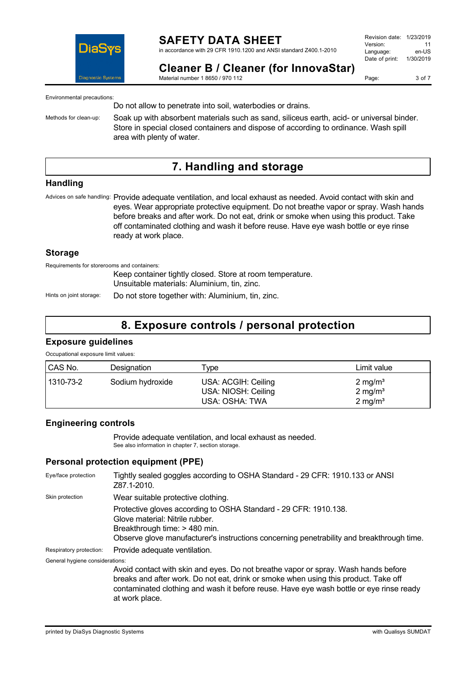

in accordance with 29 CFR 1910.1200 and ANSI standard Z400.1-2010

Page: 3 of 7

**Cleaner B / Cleaner (for InnovaStar)** Material number 1 8650 / 970 112

Environmental precautions:

Do not allow to penetrate into soil, waterbodies or drains.

Methods for clean-up: Soak up with absorbent materials such as sand, siliceus earth, acid- or universal binder. Store in special closed containers and dispose of according to ordinance. Wash spill area with plenty of water.

### **7. Handling and storage**

### **Handling**

Advices on safe handling: Provide adequate ventilation, and local exhaust as needed. Avoid contact with skin and eyes. Wear appropriate protective equipment. Do not breathe vapor or spray. Wash hands before breaks and after work. Do not eat, drink or smoke when using this product. Take off contaminated clothing and wash it before reuse. Have eye wash bottle or eye rinse ready at work place.

#### **Storage**

Requirements for storerooms and containers:

Keep container tightly closed. Store at room temperature. Unsuitable materials: Aluminium, tin, zinc.

Hints on joint storage: Do not store together with: Aluminium, tin, zinc.

### **8. Exposure controls / personal protection**

#### **Exposure guidelines**

Occupational exposure limit values:

| CAS No.   | Designation      | Type                                                         | Limit value                                                    |
|-----------|------------------|--------------------------------------------------------------|----------------------------------------------------------------|
| 1310-73-2 | Sodium hydroxide | USA: ACGIH: Ceiling<br>USA: NIOSH: Ceiling<br>USA: OSHA: TWA | $2 \text{ mg/m}^3$<br>$2 \text{ mg/m}^3$<br>$2 \text{ mg/m}^3$ |

### **Engineering controls**

Provide adequate ventilation, and local exhaust as needed. See also information in chapter 7, section storage.

### **Personal protection equipment (PPE)**

| Eye/face protection             | Tightly sealed goggles according to OSHA Standard - 29 CFR: 1910.133 or ANSI<br>Z87.1-2010.                                                                                                                                                                                            |
|---------------------------------|----------------------------------------------------------------------------------------------------------------------------------------------------------------------------------------------------------------------------------------------------------------------------------------|
| Skin protection                 | Wear suitable protective clothing.                                                                                                                                                                                                                                                     |
|                                 | Protective gloves according to OSHA Standard - 29 CFR: 1910.138.<br>Glove material: Nitrile rubber.<br>Breakthrough time: > 480 min.<br>Observe glove manufacturer's instructions concerning penetrability and breakthrough time.                                                      |
| Respiratory protection:         | Provide adequate ventilation.                                                                                                                                                                                                                                                          |
| General hygiene considerations: |                                                                                                                                                                                                                                                                                        |
|                                 | Avoid contact with skin and eyes. Do not breathe vapor or spray. Wash hands before<br>breaks and after work. Do not eat, drink or smoke when using this product. Take off<br>contaminated clothing and wash it before reuse. Have eye wash bottle or eye rinse ready<br>at work place. |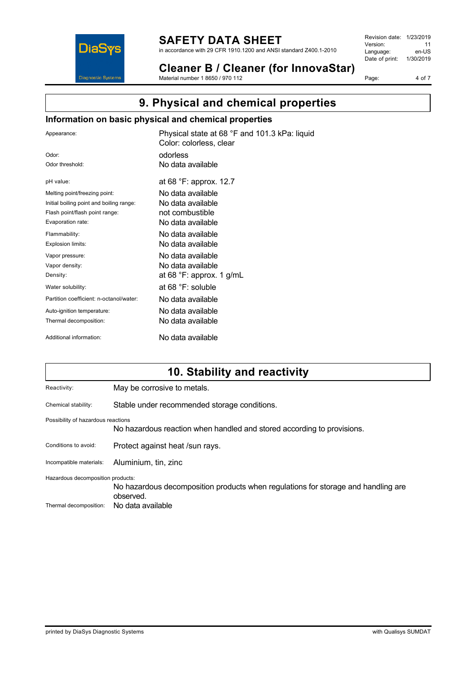

in accordance with 29 CFR 1910.1200 and ANSI standard Z400.1-2010

**Cleaner B / Cleaner (for InnovaStar)** Material number 1 8650 / 970 112

Revision date: 1/23/2019 Version: 11<br>
Language: en-US Language: Date of print: 1/30/2019

Page: 4 of 7

## **9. Physical and chemical properties**

### **Information on basic physical and chemical properties**

| Appearance:                              | Physical state at 68 °F and 101.3 kPa: liquid<br>Color: colorless, clear |
|------------------------------------------|--------------------------------------------------------------------------|
| Odor:                                    | odorless                                                                 |
| Odor threshold:                          | No data available                                                        |
| pH value:                                | at 68 °F: approx. 12.7                                                   |
| Melting point/freezing point:            | No data available                                                        |
| Initial boiling point and boiling range: | No data available                                                        |
| Flash point/flash point range:           | not combustible                                                          |
| Evaporation rate:                        | No data available                                                        |
| Flammability:                            | No data available                                                        |
| Explosion limits:                        | No data available                                                        |
| Vapor pressure:                          | No data available                                                        |
| Vapor density:                           | No data available                                                        |
| Density:                                 | at 68 $\degree$ F: approx. 1 g/mL                                        |
| Water solubility:                        | at $68 °F$ : soluble                                                     |
| Partition coefficient: n-octanol/water:  | No data available                                                        |
| Auto-ignition temperature:               | No data available                                                        |
| Thermal decomposition:                   | No data available                                                        |
| Additional information:                  | No data available                                                        |

## **10. Stability and reactivity**

| Reactivity:                        | May be corrosive to metals.                                                                    |
|------------------------------------|------------------------------------------------------------------------------------------------|
| Chemical stability:                | Stable under recommended storage conditions.                                                   |
| Possibility of hazardous reactions | No hazardous reaction when handled and stored according to provisions.                         |
| Conditions to avoid:               | Protect against heat /sun rays.                                                                |
| Incompatible materials:            | Aluminium, tin, zinc                                                                           |
| Hazardous decomposition products:  | No hazardous decomposition products when regulations for storage and handling are<br>observed. |
| Thermal decomposition:             | No data available                                                                              |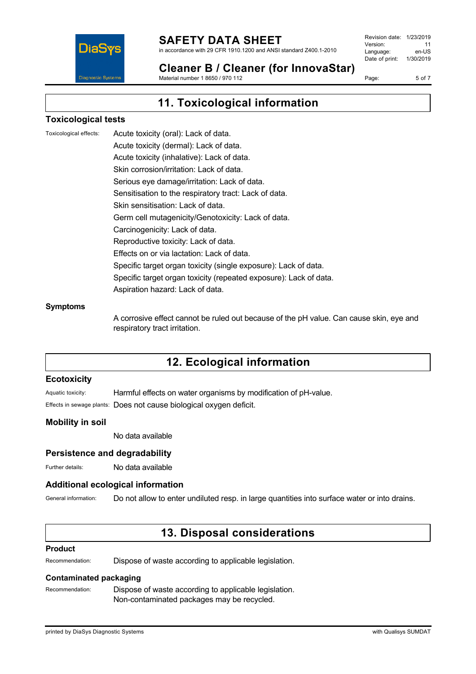

in accordance with 29 CFR 1910.1200 and ANSI standard Z400.1-2010

Revision date: 1/23/2019 Version: 11<br>Language: en-LIS Language: Date of print: 1/30/2019

Page: 5 of 7

**Cleaner B / Cleaner (for InnovaStar)** Material number 1 8650 / 970 112

## **11. Toxicological information**

### **Toxicological tests**

Toxicological effects: Acute toxicity (oral): Lack of data. Acute toxicity (dermal): Lack of data. Acute toxicity (inhalative): Lack of data. Skin corrosion/irritation: Lack of data. Serious eye damage/irritation: Lack of data. Sensitisation to the respiratory tract: Lack of data. Skin sensitisation: Lack of data. Germ cell mutagenicity/Genotoxicity: Lack of data. Carcinogenicity: Lack of data. Reproductive toxicity: Lack of data. Effects on or via lactation: Lack of data. Specific target organ toxicity (single exposure): Lack of data. Specific target organ toxicity (repeated exposure): Lack of data. Aspiration hazard: Lack of data.

#### **Symptoms**

A corrosive effect cannot be ruled out because of the pH value. Can cause skin, eye and respiratory tract irritation.

## **12. Ecological information**

### **Ecotoxicity**

Aquatic toxicity: Harmful effects on water organisms by modification of pH-value. Effects in sewage plants: Does not cause biological oxygen deficit.

### **Mobility in soil**

No data available

### **Persistence and degradability**

Further details: No data available

### **Additional ecological information**

General information: Do not allow to enter undiluted resp. in large quantities into surface water or into drains.

### **13. Disposal considerations**

#### **Product**

Recommendation: Dispose of waste according to applicable legislation.

### **Contaminated packaging**

Recommendation: Dispose of waste according to applicable legislation. Non-contaminated packages may be recycled.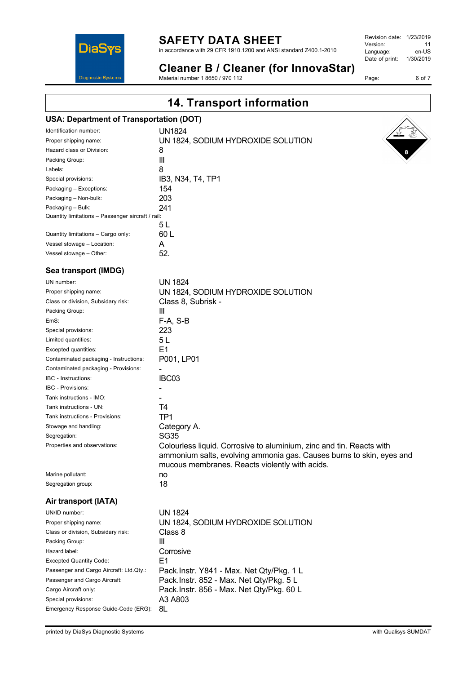

in accordance with 29 CFR 1910.1200 and ANSI standard Z400.1-2010

| 1/23/2019 |
|-----------|
| 11        |
| en-US     |
| 1/30/2019 |
|           |

Page: 6 of 7

### **Cleaner B / Cleaner (for InnovaStar)** Material number 1 8650 / 970 112

**14. Transport information**

# **USA: Department of Transportation (DOT)**

|                                                   | Identification number:             | UN1824                             |
|---------------------------------------------------|------------------------------------|------------------------------------|
|                                                   | Proper shipping name:              | UN 1824, SODIUM HYDROXIDE SOLUTION |
|                                                   | Hazard class or Division:          | 8                                  |
|                                                   | Packing Group:                     | Ш                                  |
|                                                   | Labels:                            | 8                                  |
|                                                   | Special provisions:                | IB3, N34, T4, TP1                  |
|                                                   | Packaging - Exceptions:            | 154                                |
|                                                   | Packaging - Non-bulk:              | 203                                |
|                                                   | Packaging - Bulk:                  | 241                                |
| Quantity limitations - Passenger aircraft / rail: |                                    |                                    |
|                                                   |                                    | 5 L                                |
|                                                   | Quantity limitations - Cargo only: | 60 L                               |
|                                                   | Vessel stowage - Location:         | А                                  |
|                                                   | Vessel stowage - Other:            | 52.                                |
|                                                   |                                    |                                    |

### **Sea transport (IMDG)**

| UN number:                                                       | <b>UN 1824</b>                                                                                                                                                                                 |
|------------------------------------------------------------------|------------------------------------------------------------------------------------------------------------------------------------------------------------------------------------------------|
| Proper shipping name:                                            | UN 1824, SODIUM HYDROXIDE SOLUTION                                                                                                                                                             |
| Class or division, Subsidary risk:                               | Class 8, Subrisk -                                                                                                                                                                             |
| Packing Group:                                                   | Ш                                                                                                                                                                                              |
| EmS:                                                             | $F-A, S-B$                                                                                                                                                                                     |
| Special provisions:                                              | 223                                                                                                                                                                                            |
| Limited quantities:                                              | 5L                                                                                                                                                                                             |
| Excepted quantities:                                             | E <sub>1</sub>                                                                                                                                                                                 |
| Contaminated packaging - Instructions:                           | P001, LP01                                                                                                                                                                                     |
| Contaminated packaging - Provisions:                             |                                                                                                                                                                                                |
| <b>IBC</b> - Instructions:                                       | IBC03                                                                                                                                                                                          |
| <b>IBC - Provisions:</b>                                         |                                                                                                                                                                                                |
| Tank instructions - IMO:                                         |                                                                                                                                                                                                |
| Tank instructions - UN:                                          | T4                                                                                                                                                                                             |
| Tank instructions - Provisions:                                  | TP <sub>1</sub>                                                                                                                                                                                |
| Stowage and handling:                                            | Category A.                                                                                                                                                                                    |
| Segregation:                                                     | <b>SG35</b>                                                                                                                                                                                    |
| Properties and observations:                                     | Colourless liquid. Corrosive to aluminium, zinc and tin. Reacts with<br>ammonium salts, evolving ammonia gas. Causes burns to skin, eyes and<br>mucous membranes. Reacts violently with acids. |
| Marine pollutant:                                                | no                                                                                                                                                                                             |
| Segregation group:                                               | 18                                                                                                                                                                                             |
| Air transport (IATA)                                             |                                                                                                                                                                                                |
| UN/ID number:                                                    | <b>UN 1824</b>                                                                                                                                                                                 |
| Proper shipping name:                                            | UN 1824, SODIUM HYDROXIDE SOLUTION                                                                                                                                                             |
| Class or division, Subsidary risk:                               | Class 8                                                                                                                                                                                        |
| Packing Group:                                                   | III                                                                                                                                                                                            |
| Hazard label:                                                    | Corrosive                                                                                                                                                                                      |
| <b>Excepted Quantity Code:</b>                                   | E1                                                                                                                                                                                             |
| Passenger and Cargo Aircraft: Ltd.Qty.:                          | Pack.Instr. Y841 - Max. Net Qty/Pkg. 1 L                                                                                                                                                       |
| Passenger and Cargo Aircraft:                                    | Pack.Instr. 852 - Max. Net Qty/Pkg. 5 L                                                                                                                                                        |
| Pack.Instr. 856 - Max. Net Qty/Pkg. 60 L<br>Cargo Aircraft only: |                                                                                                                                                                                                |
| Special provisions:                                              | A3 A803                                                                                                                                                                                        |
| Emergency Response Guide-Code (ERG):                             | 8L                                                                                                                                                                                             |